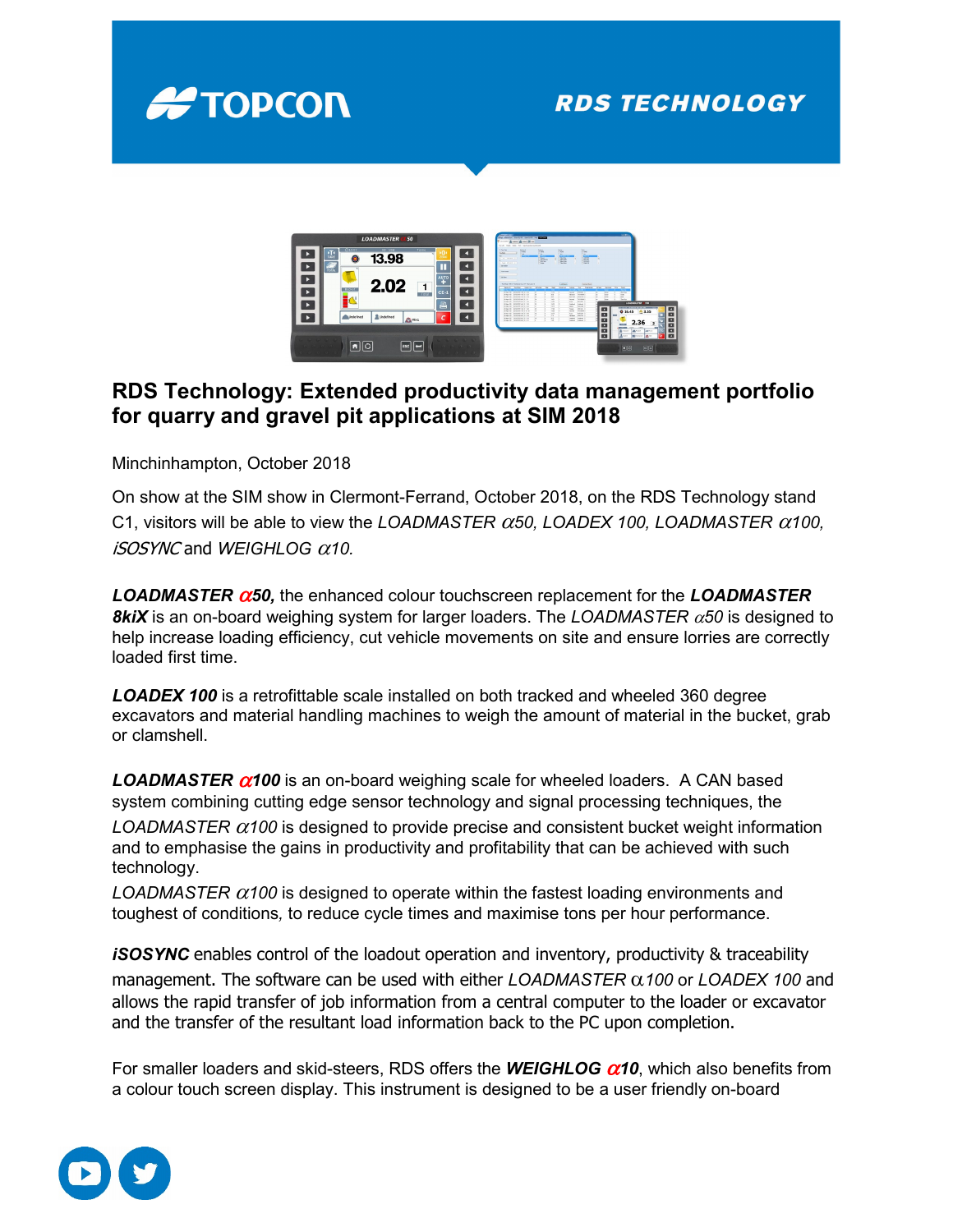

## **RDS TECHNOLOGY**



## **RDS Technology: Extended productivity data management portfolio for quarry and gravel pit applications at SIM 2018**

Minchinhampton, October 2018

On show at the SIM show in Clermont-Ferrand, October 2018, on the RDS Technology stand C1, visitors will be able to view the *LOADMASTER* α*50, LOADEX 100, LOADMASTER* α*100,*  iSOSYNC and *WEIGHLOG* α*10.*

*LOADMASTER* α*50,* the enhanced colour touchscreen replacement for the *LOADMASTER 8kiX* is an on-board weighing system for larger loaders. The *LOADMASTER* α*50* is designed to help increase loading efficiency, cut vehicle movements on site and ensure lorries are correctly loaded first time.

*LOADEX 100* is a retrofittable scale installed on both tracked and wheeled 360 degree excavators and material handling machines to weigh the amount of material in the bucket, grab or clamshell.

*LOADMASTER* α*100* is an on-board weighing scale for wheeled loaders. A CAN based system combining cutting edge sensor technology and signal processing techniques, the *LOADMASTER* α*100* is designed to provide precise and consistent bucket weight information

and to emphasise the gains in productivity and profitability that can be achieved with such technology.

*LOADMASTER* α*100* is designed to operate within the fastest loading environments and toughest of conditions*,* to reduce cycle times and maximise tons per hour performance.

*iSOSYNC* enables control of the loadout operation and inventory, productivity & traceability management. The software can be used with either *LOADMASTER* α*100* or *LOADEX 100* and allows the rapid transfer of job information from a central computer to the loader or excavator and the transfer of the resultant load information back to the PC upon completion.

For smaller loaders and skid-steers, RDS offers the *WEIGHLOG* α*10*, which also benefits from a colour touch screen display. This instrument is designed to be a user friendly on-board